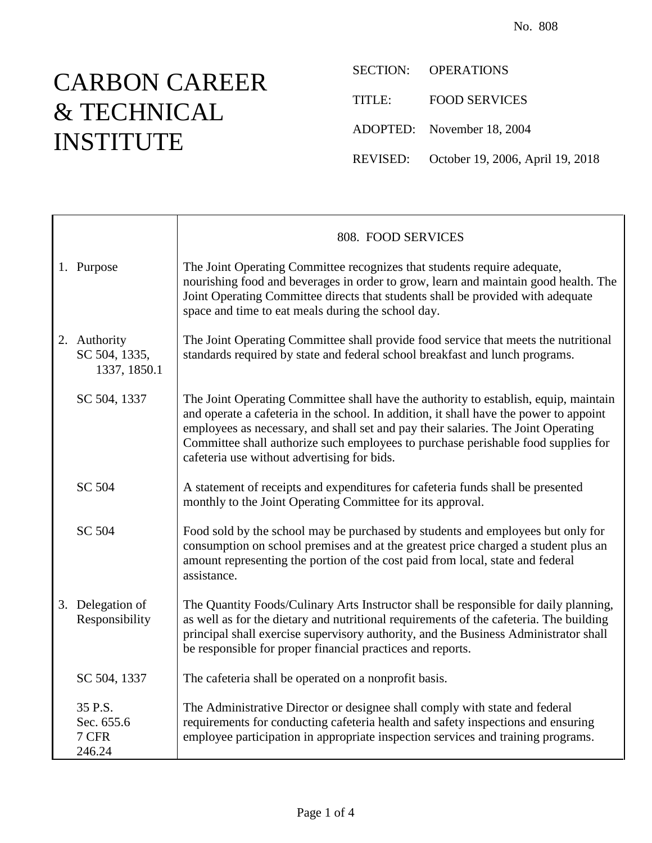## CARBON CAREER & TECHNICAL INSTITUTE

SECTION: OPERATIONS TITLE: FOOD SERVICES ADOPTED: November 18, 2004 REVISED: October 19, 2006, April 19, 2018

|                                               | 808. FOOD SERVICES                                                                                                                                                                                                                                                                                                                                                                                      |
|-----------------------------------------------|---------------------------------------------------------------------------------------------------------------------------------------------------------------------------------------------------------------------------------------------------------------------------------------------------------------------------------------------------------------------------------------------------------|
| 1. Purpose                                    | The Joint Operating Committee recognizes that students require adequate,<br>nourishing food and beverages in order to grow, learn and maintain good health. The<br>Joint Operating Committee directs that students shall be provided with adequate<br>space and time to eat meals during the school day.                                                                                                |
| 2. Authority<br>SC 504, 1335,<br>1337, 1850.1 | The Joint Operating Committee shall provide food service that meets the nutritional<br>standards required by state and federal school breakfast and lunch programs.                                                                                                                                                                                                                                     |
| SC 504, 1337                                  | The Joint Operating Committee shall have the authority to establish, equip, maintain<br>and operate a cafeteria in the school. In addition, it shall have the power to appoint<br>employees as necessary, and shall set and pay their salaries. The Joint Operating<br>Committee shall authorize such employees to purchase perishable food supplies for<br>cafeteria use without advertising for bids. |
| SC 504                                        | A statement of receipts and expenditures for cafeteria funds shall be presented<br>monthly to the Joint Operating Committee for its approval.                                                                                                                                                                                                                                                           |
| SC 504                                        | Food sold by the school may be purchased by students and employees but only for<br>consumption on school premises and at the greatest price charged a student plus an<br>amount representing the portion of the cost paid from local, state and federal<br>assistance.                                                                                                                                  |
| 3. Delegation of<br>Responsibility            | The Quantity Foods/Culinary Arts Instructor shall be responsible for daily planning,<br>as well as for the dietary and nutritional requirements of the cafeteria. The building<br>principal shall exercise supervisory authority, and the Business Administrator shall<br>be responsible for proper financial practices and reports.                                                                    |
| SC 504, 1337                                  | The cafeteria shall be operated on a nonprofit basis.                                                                                                                                                                                                                                                                                                                                                   |
| 35 P.S.<br>Sec. 655.6<br>7 CFR<br>246.24      | The Administrative Director or designee shall comply with state and federal<br>requirements for conducting cafeteria health and safety inspections and ensuring<br>employee participation in appropriate inspection services and training programs.                                                                                                                                                     |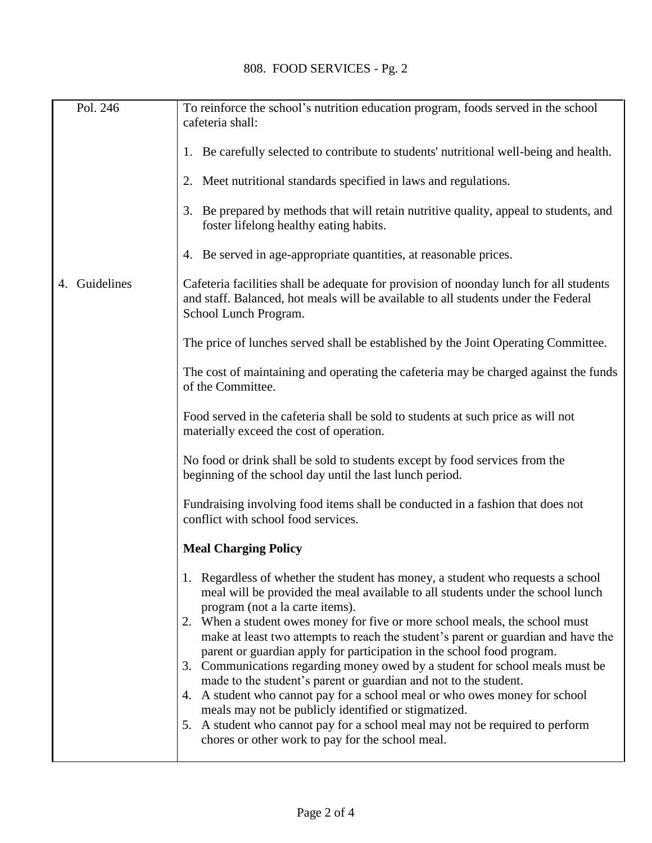| Pol. 246      | To reinforce the school's nutrition education program, foods served in the school<br>cafeteria shall:                                                                                                                      |
|---------------|----------------------------------------------------------------------------------------------------------------------------------------------------------------------------------------------------------------------------|
|               |                                                                                                                                                                                                                            |
|               | 1. Be carefully selected to contribute to students' nutritional well-being and health.                                                                                                                                     |
|               | 2. Meet nutritional standards specified in laws and regulations.                                                                                                                                                           |
|               | 3. Be prepared by methods that will retain nutritive quality, appeal to students, and<br>foster lifelong healthy eating habits.                                                                                            |
|               | 4. Be served in age-appropriate quantities, at reasonable prices.                                                                                                                                                          |
| 4. Guidelines | Cafeteria facilities shall be adequate for provision of noonday lunch for all students<br>and staff. Balanced, hot meals will be available to all students under the Federal<br>School Lunch Program.                      |
|               | The price of lunches served shall be established by the Joint Operating Committee.                                                                                                                                         |
|               | The cost of maintaining and operating the cafeteria may be charged against the funds<br>of the Committee.                                                                                                                  |
|               | Food served in the cafeteria shall be sold to students at such price as will not<br>materially exceed the cost of operation.                                                                                               |
|               | No food or drink shall be sold to students except by food services from the<br>beginning of the school day until the last lunch period.                                                                                    |
|               | Fundraising involving food items shall be conducted in a fashion that does not<br>conflict with school food services.                                                                                                      |
|               | <b>Meal Charging Policy</b>                                                                                                                                                                                                |
|               | 1. Regardless of whether the student has money, a student who requests a school<br>meal will be provided the meal available to all students under the school lunch<br>program (not a la carte items).                      |
|               | 2. When a student owes money for five or more school meals, the school must<br>make at least two attempts to reach the student's parent or guardian and have the                                                           |
|               | parent or guardian apply for participation in the school food program.<br>3. Communications regarding money owed by a student for school meals must be<br>made to the student's parent or guardian and not to the student. |
|               | 4. A student who cannot pay for a school meal or who owes money for school<br>meals may not be publicly identified or stigmatized.                                                                                         |
|               | 5. A student who cannot pay for a school meal may not be required to perform<br>chores or other work to pay for the school meal.                                                                                           |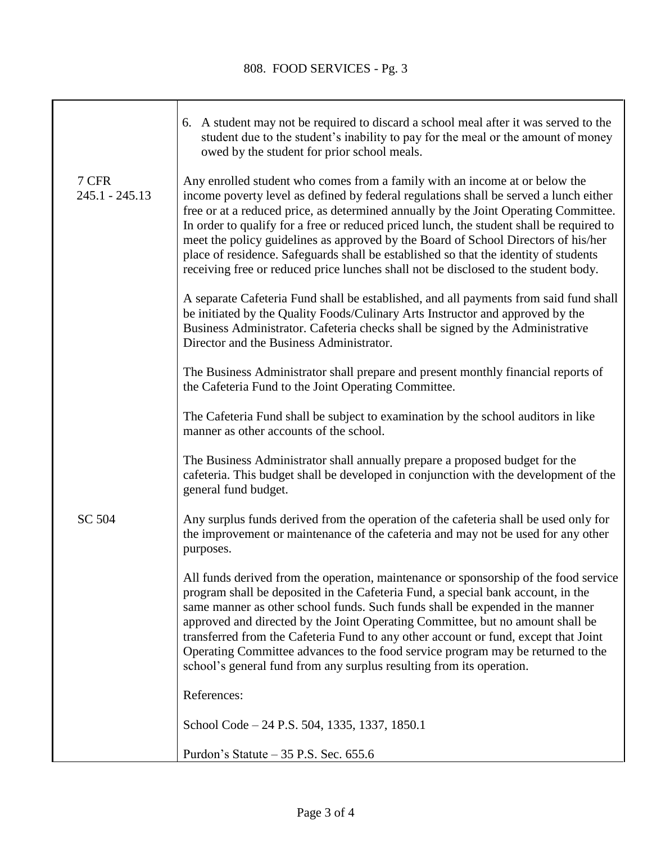|                           | 6. A student may not be required to discard a school meal after it was served to the<br>student due to the student's inability to pay for the meal or the amount of money<br>owed by the student for prior school meals.                                                                                                                                                                                                                                                                                                                                                                                                      |
|---------------------------|-------------------------------------------------------------------------------------------------------------------------------------------------------------------------------------------------------------------------------------------------------------------------------------------------------------------------------------------------------------------------------------------------------------------------------------------------------------------------------------------------------------------------------------------------------------------------------------------------------------------------------|
| 7 CFR<br>$245.1 - 245.13$ | Any enrolled student who comes from a family with an income at or below the<br>income poverty level as defined by federal regulations shall be served a lunch either<br>free or at a reduced price, as determined annually by the Joint Operating Committee.<br>In order to qualify for a free or reduced priced lunch, the student shall be required to<br>meet the policy guidelines as approved by the Board of School Directors of his/her<br>place of residence. Safeguards shall be established so that the identity of students<br>receiving free or reduced price lunches shall not be disclosed to the student body. |
|                           | A separate Cafeteria Fund shall be established, and all payments from said fund shall<br>be initiated by the Quality Foods/Culinary Arts Instructor and approved by the<br>Business Administrator. Cafeteria checks shall be signed by the Administrative<br>Director and the Business Administrator.                                                                                                                                                                                                                                                                                                                         |
|                           | The Business Administrator shall prepare and present monthly financial reports of<br>the Cafeteria Fund to the Joint Operating Committee.                                                                                                                                                                                                                                                                                                                                                                                                                                                                                     |
|                           | The Cafeteria Fund shall be subject to examination by the school auditors in like<br>manner as other accounts of the school.                                                                                                                                                                                                                                                                                                                                                                                                                                                                                                  |
|                           | The Business Administrator shall annually prepare a proposed budget for the<br>cafeteria. This budget shall be developed in conjunction with the development of the<br>general fund budget.                                                                                                                                                                                                                                                                                                                                                                                                                                   |
| SC 504                    | Any surplus funds derived from the operation of the cafeteria shall be used only for<br>the improvement or maintenance of the cafeteria and may not be used for any other<br>purposes.                                                                                                                                                                                                                                                                                                                                                                                                                                        |
|                           | All funds derived from the operation, maintenance or sponsorship of the food service<br>program shall be deposited in the Cafeteria Fund, a special bank account, in the<br>same manner as other school funds. Such funds shall be expended in the manner<br>approved and directed by the Joint Operating Committee, but no amount shall be<br>transferred from the Cafeteria Fund to any other account or fund, except that Joint<br>Operating Committee advances to the food service program may be returned to the<br>school's general fund from any surplus resulting from its operation.                                 |
|                           | References:                                                                                                                                                                                                                                                                                                                                                                                                                                                                                                                                                                                                                   |
|                           | School Code – 24 P.S. 504, 1335, 1337, 1850.1                                                                                                                                                                                                                                                                                                                                                                                                                                                                                                                                                                                 |
|                           | Purdon's Statute $-35$ P.S. Sec. 655.6                                                                                                                                                                                                                                                                                                                                                                                                                                                                                                                                                                                        |